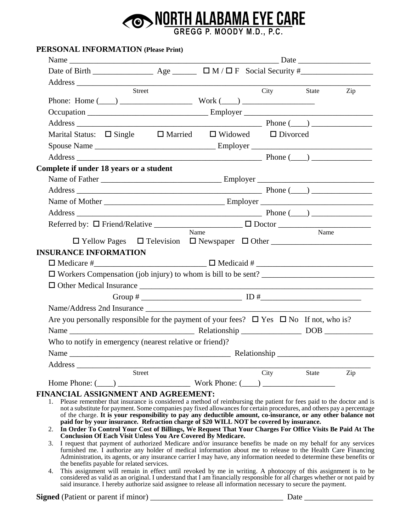## **OD NORTH ALABAMA EYE CARE**

## **PERSONAL INFORMATION (Please Print)**

|                                                                                                                                                                                                                                                 | Street        |                                               |      | City State | Zip |
|-------------------------------------------------------------------------------------------------------------------------------------------------------------------------------------------------------------------------------------------------|---------------|-----------------------------------------------|------|------------|-----|
|                                                                                                                                                                                                                                                 |               |                                               |      |            |     |
|                                                                                                                                                                                                                                                 |               |                                               |      |            |     |
|                                                                                                                                                                                                                                                 |               |                                               |      |            |     |
| Marital Status: $\Box$ Single                                                                                                                                                                                                                   |               | $\Box$ Married $\Box$ Widowed $\Box$ Divorced |      |            |     |
|                                                                                                                                                                                                                                                 |               |                                               |      |            |     |
|                                                                                                                                                                                                                                                 |               |                                               |      |            |     |
| Complete if under 18 years or a student                                                                                                                                                                                                         |               |                                               |      |            |     |
|                                                                                                                                                                                                                                                 |               |                                               |      |            |     |
|                                                                                                                                                                                                                                                 |               |                                               |      |            |     |
|                                                                                                                                                                                                                                                 |               |                                               |      |            |     |
|                                                                                                                                                                                                                                                 |               |                                               |      |            |     |
|                                                                                                                                                                                                                                                 |               |                                               |      |            |     |
|                                                                                                                                                                                                                                                 |               | Name                                          |      | Name       |     |
|                                                                                                                                                                                                                                                 |               |                                               |      |            |     |
| <b>INSURANCE INFORMATION</b>                                                                                                                                                                                                                    |               |                                               |      |            |     |
|                                                                                                                                                                                                                                                 |               |                                               |      |            |     |
|                                                                                                                                                                                                                                                 |               |                                               |      |            |     |
|                                                                                                                                                                                                                                                 |               |                                               |      |            |     |
|                                                                                                                                                                                                                                                 |               |                                               |      |            |     |
|                                                                                                                                                                                                                                                 |               |                                               |      |            |     |
| Are you personally responsible for the payment of your fees? $\Box$ Yes $\Box$ No If not, who is?                                                                                                                                               |               |                                               |      |            |     |
|                                                                                                                                                                                                                                                 |               |                                               |      |            |     |
| Who to notify in emergency (nearest relative or friend)?                                                                                                                                                                                        |               |                                               |      |            |     |
| Name<br><b>Example 2018</b> Relationship _                                                                                                                                                                                                      |               |                                               |      |            |     |
|                                                                                                                                                                                                                                                 |               |                                               |      |            |     |
|                                                                                                                                                                                                                                                 | <b>Street</b> |                                               | City | State      | Zip |
|                                                                                                                                                                                                                                                 |               |                                               |      |            |     |
| FINANCIAL ASSIGNMENT AND AGREEMENT:                                                                                                                                                                                                             |               |                                               |      |            |     |
| 1. Please remember that insurance is considered a method of reimbursing the patient for fees paid to the doctor and is<br>not a substitute for payment. Some companies pay fixed allowances for certain procedures, and others pay a percentage |               |                                               |      |            |     |
| of the charge. It is your responsibility to pay any deductible amount, co-insurance, or any other balance not<br>paid for by your insurance. Refraction charge of \$20 WILL NOT be covered by insurance.                                        |               |                                               |      |            |     |
| 2. In Order To Control Your Cost of Billings, We Request That Your Charges For Office Visits Be Paid At The<br><b>Conclusion Of Each Visit Unless You Are Covered By Medicare.</b>                                                              |               |                                               |      |            |     |
| I request that payment of authorized Medicare and/or insurance benefits be made on my behalf for any services<br>3.                                                                                                                             |               |                                               |      |            |     |
| furnished me. I authorize any holder of medical information about me to release to the Health Care Financing<br>Administration, its agents, or any insurance carrier I may have, any information needed to determine these benefits or          |               |                                               |      |            |     |

the benefits payable for related services. 4. This assignment will remain in effect until revoked by me in writing. A photocopy of this assignment is to be considered as valid as an original. I understand that I am financially responsible for all charges whether or not paid by said insurance. I hereby authorize said assignee to release all information necessary to secure the payment.

**Signed** (Patient or parent if minor) \_\_\_\_\_\_\_\_\_\_\_\_\_\_\_\_\_\_\_\_\_\_\_\_\_\_\_\_\_\_\_\_\_ Date \_\_\_\_\_\_\_\_\_\_\_\_\_\_\_\_\_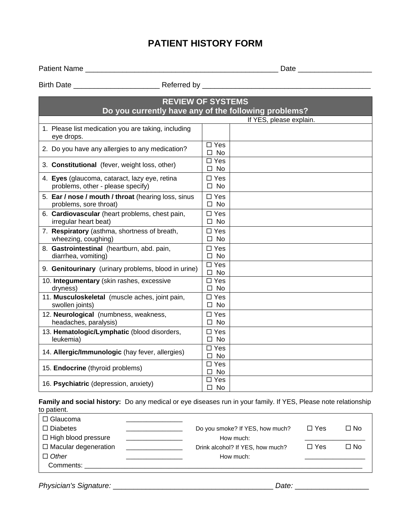## **PATIENT HISTORY FORM**

Patient Name \_\_\_\_\_\_\_\_\_\_\_\_\_\_\_\_\_\_\_\_\_\_\_\_\_\_\_\_\_\_\_\_\_\_\_\_\_\_\_\_\_\_\_\_\_\_\_ Date \_\_\_\_\_\_\_\_\_\_\_\_\_\_\_\_\_\_

Birth Date \_\_\_\_\_\_\_\_\_\_\_\_\_\_\_\_\_\_\_\_\_ Referred by \_\_\_\_\_\_\_\_\_\_\_\_\_\_\_\_\_\_\_\_\_\_\_\_\_\_\_\_\_\_\_\_\_\_\_\_\_\_\_\_\_

| <b>REVIEW OF SYSTEMS</b>                                                           |                               |  |  |  |  |
|------------------------------------------------------------------------------------|-------------------------------|--|--|--|--|
| Do you currently have any of the following problems?                               |                               |  |  |  |  |
|                                                                                    | If YES, please explain.       |  |  |  |  |
| 1. Please list medication you are taking, including<br>eye drops.                  |                               |  |  |  |  |
| 2. Do you have any allergies to any medication?                                    | $\Box$ Yes<br><b>No</b><br>П. |  |  |  |  |
| 3. Constitutional (fever, weight loss, other)                                      | $\Box$ Yes<br>No<br>$\Box$    |  |  |  |  |
| 4. Eyes (glaucoma, cataract, lazy eye, retina<br>problems, other - please specify) | $\Box$ Yes<br>$\square$ No    |  |  |  |  |
| 5. Ear / nose / mouth / throat (hearing loss, sinus<br>problems, sore throat)      | $\Box$ Yes<br>$\square$ No    |  |  |  |  |
| 6. Cardiovascular (heart problems, chest pain,<br>irregular heart beat)            | $\Box$ Yes<br>$\square$ No    |  |  |  |  |
| 7. Respiratory (asthma, shortness of breath,<br>wheezing, coughing)                | $\square$ Yes<br>$\square$ No |  |  |  |  |
| 8. Gastrointestinal (heartburn, abd. pain,<br>diarrhea, vomiting)                  | $\Box$ Yes<br>$\square$ No    |  |  |  |  |
| 9. Genitourinary (urinary problems, blood in urine)                                | $\Box$ Yes<br>$\square$ No    |  |  |  |  |
| 10. Integumentary (skin rashes, excessive<br>dryness)                              | $\Box$ Yes<br>No<br>$\Box$    |  |  |  |  |
| 11. Musculoskeletal (muscle aches, joint pain,<br>swollen joints)                  | $\Box$ Yes<br>$\square$ No    |  |  |  |  |
| 12. Neurological (numbness, weakness,<br>headaches, paralysis)                     | $\Box$ Yes<br>$\square$ No    |  |  |  |  |
| 13. Hematologic/Lymphatic (blood disorders,<br>leukemia)                           | $\square$ Yes<br>$\square$ No |  |  |  |  |
| 14. Allergic/Immunologic (hay fever, allergies)                                    | $\Box$ Yes<br>$\square$ No    |  |  |  |  |
| 15. Endocrine (thyroid problems)                                                   | $\square$ Yes<br>$\square$ No |  |  |  |  |
| 16. Psychiatric (depression, anxiety)                                              | $\square$ Yes<br>$\square$ No |  |  |  |  |

**Family and social history:** Do any medical or eye diseases run in your family. If YES, Please note relationship to patient.

| $\Box$ Glaucoma<br>$\Box$ Diabetes |                                  | $\Box$ Yes | $\Box$ No |
|------------------------------------|----------------------------------|------------|-----------|
|                                    | Do you smoke? If YES, how much?  |            |           |
| □ High blood pressure              | How much:                        |            |           |
| $\Box$ Macular degeneration        | Drink alcohol? If YES, how much? | $\Box$ Yes | $\Box$ No |
| $\Box$ Other                       | How much:                        |            |           |
| Comments:                          |                                  |            |           |

*Physician's Signature:* \_\_\_\_\_\_\_\_\_\_\_\_\_\_\_\_\_\_\_\_\_\_\_\_\_\_\_\_\_\_\_\_\_\_\_\_\_\_\_ *Date:* \_\_\_\_\_\_\_\_\_\_\_\_\_\_\_\_\_\_